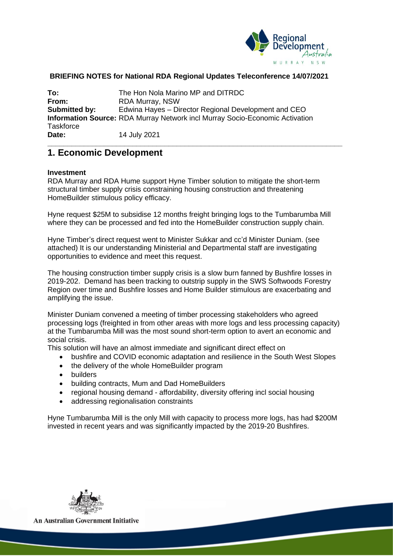

#### **BRIEFING NOTES for National RDA Regional Updates Teleconference 14/07/2021**

**\_\_\_\_\_\_\_\_\_\_\_\_\_\_\_\_\_\_\_\_\_\_\_\_\_\_\_\_\_\_\_\_\_\_\_\_\_\_\_\_\_\_\_\_\_\_\_\_\_\_\_\_\_\_\_\_\_\_\_\_\_\_\_\_\_\_\_\_\_\_\_\_\_**

**To:** The Hon Nola Marino MP and DITRDC<br> **From:** RDA Murray, NSW **From:** RDA Murray, NSW **Submitted by:** Edwina Hayes – Director Regional Development and CEO **Information Source:** RDA Murray Network incl Murray Socio-Economic Activation **Taskforce Date:** 14 July 2021

### **1. Economic Development**

#### **Investment**

RDA Murray and RDA Hume support Hyne Timber solution to mitigate the short-term structural timber supply crisis constraining housing construction and threatening HomeBuilder stimulous policy efficacy.

Hyne request \$25M to subsidise 12 months freight bringing logs to the Tumbarumba Mill where they can be processed and fed into the HomeBuilder construction supply chain.

Hyne Timber's direct request went to Minister Sukkar and cc'd Minister Duniam. (see attached) It is our understanding Ministerial and Departmental staff are investigating opportunities to evidence and meet this request.

The housing construction timber supply crisis is a slow burn fanned by Bushfire losses in 2019-202. Demand has been tracking to outstrip supply in the SWS Softwoods Forestry Region over time and Bushfire losses and Home Builder stimulous are exacerbating and amplifying the issue.

Minister Duniam convened a meeting of timber processing stakeholders who agreed processing logs (freighted in from other areas with more logs and less processing capacity) at the Tumbarumba Mill was the most sound short-term option to avert an economic and social crisis.

This solution will have an almost immediate and significant direct effect on

- bushfire and COVID economic adaptation and resilience in the South West Slopes
- the delivery of the whole HomeBuilder program
- builders
- building contracts, Mum and Dad HomeBuilders
- regional housing demand affordability, diversity offering incl social housing
- addressing regionalisation constraints

Hyne Tumbarumba Mill is the only Mill with capacity to process more logs, has had \$200M invested in recent years and was significantly impacted by the 2019-20 Bushfires.



**An Australian Government Initiative**